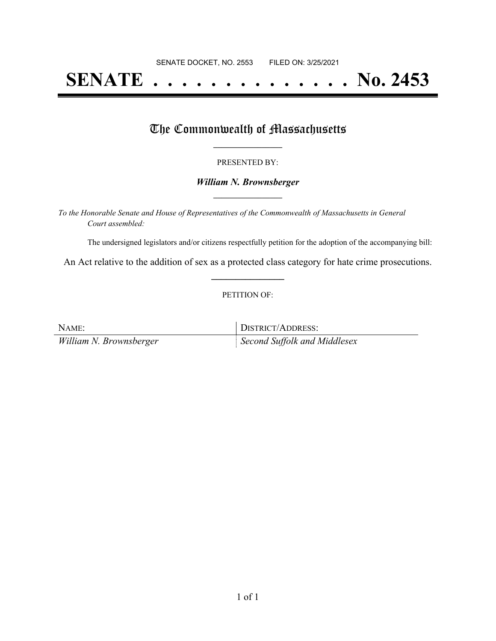# **SENATE . . . . . . . . . . . . . . No. 2453**

### The Commonwealth of Massachusetts

#### PRESENTED BY:

#### *William N. Brownsberger* **\_\_\_\_\_\_\_\_\_\_\_\_\_\_\_\_\_**

*To the Honorable Senate and House of Representatives of the Commonwealth of Massachusetts in General Court assembled:*

The undersigned legislators and/or citizens respectfully petition for the adoption of the accompanying bill:

An Act relative to the addition of sex as a protected class category for hate crime prosecutions. **\_\_\_\_\_\_\_\_\_\_\_\_\_\_\_**

#### PETITION OF:

| NAME:                   | DISTRICT/ADDRESS:                        |
|-------------------------|------------------------------------------|
| William N. Brownsberger | $\parallel$ Second Suffolk and Middlesex |